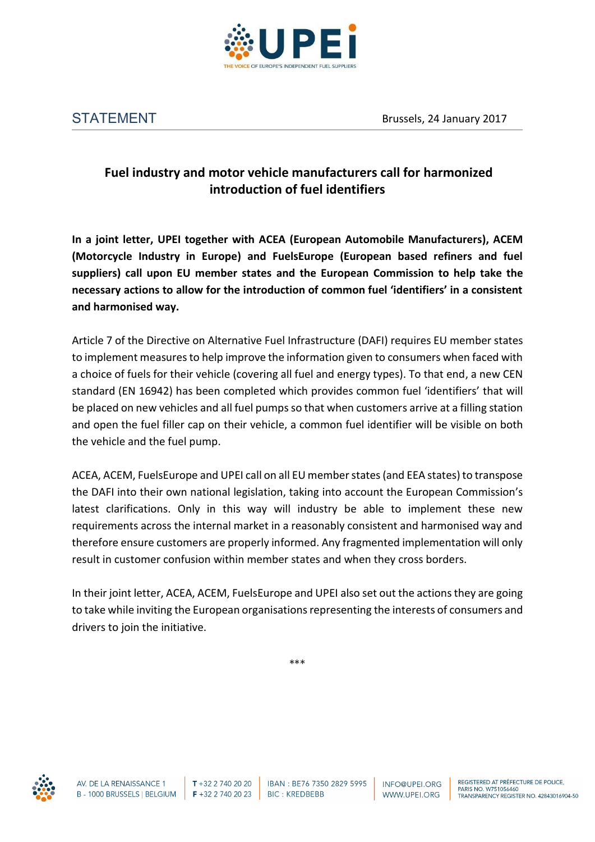

## **Fuel industry and motor vehicle manufacturers call for harmonized introduction of fuel identifiers**

**In a joint letter, UPEI together with ACEA (European Automobile Manufacturers), ACEM (Motorcycle Industry in Europe) and FuelsEurope (European based refiners and fuel suppliers) call upon EU member states and the European Commission to help take the necessary actions to allow for the introduction of common fuel 'identifiers' in a consistent and harmonised way.** 

Article 7 of the Directive on Alternative Fuel Infrastructure (DAFI) requires EU member states to implement measures to help improve the information given to consumers when faced with a choice of fuels for their vehicle (covering all fuel and energy types). To that end, a new CEN standard (EN 16942) has been completed which provides common fuel 'identifiers' that will be placed on new vehicles and all fuel pumps so that when customers arrive at a filling station and open the fuel filler cap on their vehicle, a common fuel identifier will be visible on both the vehicle and the fuel pump.

ACEA, ACEM, FuelsEurope and UPEI call on all EU member states (and EEA states) to transpose the DAFI into their own national legislation, taking into account the European Commission's latest clarifications. Only in this way will industry be able to implement these new requirements across the internal market in a reasonably consistent and harmonised way and therefore ensure customers are properly informed. Any fragmented implementation will only result in customer confusion within member states and when they cross borders.

In their joint letter, ACEA, ACEM, FuelsEurope and UPEI also set out the actions they are going to take while inviting the European organisations representing the interests of consumers and drivers to join the initiative.

\*\*\*